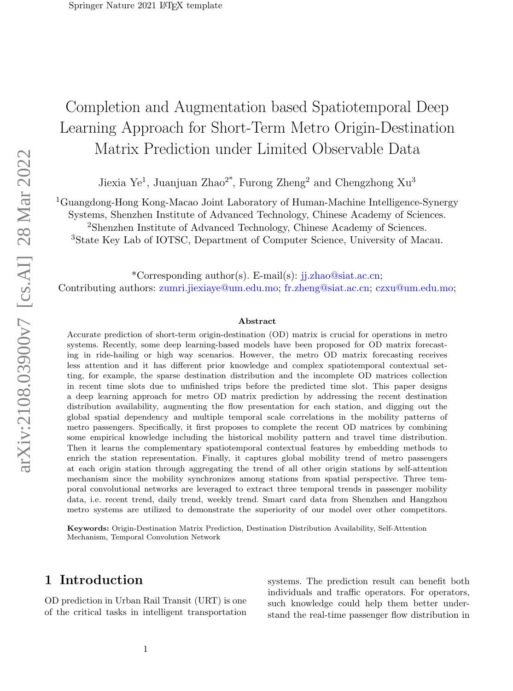# Completion and Augmentation based Spatiotemporal Deep Learning Approach for Short-Term Metro Origin-Destination Matrix Prediction under Limited Observable Data

Jiexia Ye<sup>1</sup>, Juanjuan Zhao<sup>2\*</sup>, Furong Zheng<sup>2</sup> and Chengzhong Xu<sup>3</sup>

<sup>1</sup>Guangdong-Hong Kong-Macao Joint Laboratory of Human-Machine Intelligence-Synergy

Systems, Shenzhen Institute of Advanced Technology, Chinese Academy of Sciences.

<sup>2</sup>Shenzhen Institute of Advanced Technology, Chinese Academy of Sciences.

<sup>3</sup>State Key Lab of IOTSC, Department of Computer Science, University of Macau.

\*Corresponding author(s). E-mail(s): jj.zhao@siat.ac.cn; Contributing authors: zumri.jiexiaye@um.edu.mo; fr.zheng@siat.ac.cn; czxu@um.edu.mo;

#### Abstract

Accurate prediction of short-term origin-destination (OD) matrix is crucial for operations in metro systems. Recently, some deep learning-based models have been proposed for OD matrix forecasting in ride-hailing or high way scenarios. However, the metro OD matrix forecasting receives less attention and it has different prior knowledge and complex spatiotemporal contextual setting, for example, the sparse destination distribution and the incomplete OD matrices collection in recent time slots due to unfinished trips before the predicted time slot. This paper designs a deep learning approach for metro OD matrix prediction by addressing the recent destination distribution availability, augmenting the flow presentation for each station, and digging out the global spatial dependency and multiple temporal scale correlations in the mobility patterns of metro passengers. Specifically, it first proposes to complete the recent OD matrices by combining some empirical knowledge including the historical mobility pattern and travel time distribution. Then it learns the complementary spatiotemporal contextual features by embedding methods to enrich the station representation. Finally, it captures global mobility trend of metro passengers at each origin station through aggregating the trend of all other origin stations by self-attention mechanism since the mobility synchronizes among stations from spatial perspective. Three temporal convolutional networks are leveraged to extract three temporal trends in passenger mobility data, i.e. recent trend, daily trend, weekly trend. Smart card data from Shenzhen and Hangzhou metro systems are utilized to demonstrate the superiority of our model over other competitors.

Keywords: Origin-Destination Matrix Prediction, Destination Distribution Availability, Self-Attention Mechanism, Temporal Convolution Network

# <span id="page-0-0"></span>1 Introduction

OD prediction in Urban Rail Transit (URT) is one of the critical tasks in intelligent transportation

systems. The prediction result can benefit both individuals and traffic operators. For operators, such knowledge could help them better understand the real-time passenger flow distribution in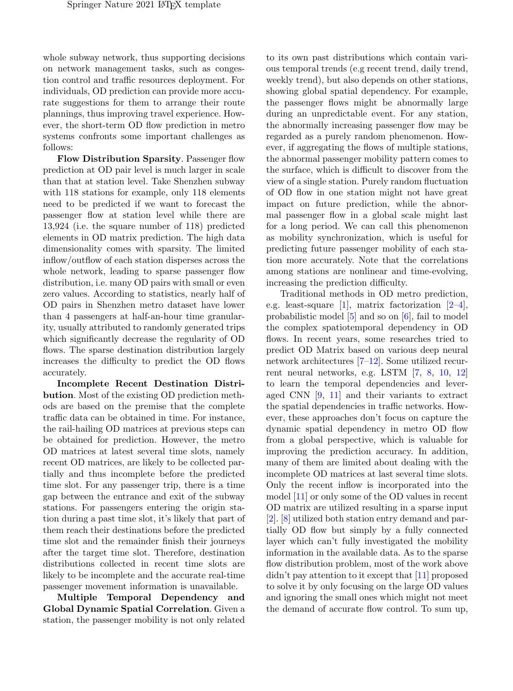whole subway network, thus supporting decisions on network management tasks, such as congestion control and traffic resources deployment. For individuals, OD prediction can provide more accurate suggestions for them to arrange their route plannings, thus improving travel experience. However, the short-term OD flow prediction in metro systems confronts some important challenges as follows:

Flow Distribution Sparsity. Passenger flow prediction at OD pair level is much larger in scale than that at station level. Take Shenzhen subway with 118 stations for example, only 118 elements need to be predicted if we want to forecast the passenger flow at station level while there are 13,924 (i.e. the square number of 118) predicted elements in OD matrix prediction. The high data dimensionality comes with sparsity. The limited inflow/outflow of each station disperses across the whole network, leading to sparse passenger flow distribution, i.e. many OD pairs with small or even zero values. According to statistics, nearly half of OD pairs in Shenzhen metro dataset have lower than 4 passengers at half-an-hour time granularity, usually attributed to randomly generated trips which significantly decrease the regularity of OD flows. The sparse destination distribution largely increases the difficulty to predict the OD flows accurately.

Incomplete Recent Destination Distribution. Most of the existing OD prediction methods are based on the premise that the complete traffic data can be obtained in time. For instance, the rail-hailing OD matrices at previous steps can be obtained for prediction. However, the metro OD matrices at latest several time slots, namely recent OD matrices, are likely to be collected partially and thus incomplete before the predicted time slot. For any passenger trip, there is a time gap between the entrance and exit of the subway stations. For passengers entering the origin station during a past time slot, it's likely that part of them reach their destinations before the predicted time slot and the remainder finish their journeys after the target time slot. Therefore, destination distributions collected in recent time slots are likely to be incomplete and the accurate real-time passenger movement information is unavailable.

Multiple Temporal Dependency and Global Dynamic Spatial Correlation. Given a station, the passenger mobility is not only related

to its own past distributions which contain various temporal trends (e.g recent trend, daily trend, weekly trend), but also depends on other stations, showing global spatial dependency. For example, the passenger flows might be abnormally large during an unpredictable event. For any station, the abnormally increasing passenger flow may be regarded as a purely random phenomenon. However, if aggregating the flows of multiple stations, the abnormal passenger mobility pattern comes to the surface, which is difficult to discover from the view of a single station. Purely random fluctuation of OD flow in one station might not have great impact on future prediction, while the abnormal passenger flow in a global scale might last for a long period. We can call this phenomenon as mobility synchronization, which is useful for predicting future passenger mobility of each station more accurately. Note that the correlations among stations are nonlinear and time-evolving, increasing the prediction difficulty.

Traditional methods in OD metro prediction, e.g. least-square [\[1\]](#page-14-0), matrix factorization [\[2–](#page-14-1)[4\]](#page-15-0), probabilistic model [\[5\]](#page-15-1) and so on [\[6\]](#page-15-2), fail to model the complex spatiotemporal dependency in OD flows. In recent years, some researches tried to predict OD Matrix based on various deep neural network architectures [\[7–](#page-15-3)[12\]](#page-15-4). Some utilized recurrent neural networks, e.g. LSTM [\[7,](#page-15-3) [8,](#page-15-5) [10,](#page-15-6) [12\]](#page-15-4) to learn the temporal dependencies and leveraged CNN [\[9,](#page-15-7) [11\]](#page-15-8) and their variants to extract the spatial dependencies in traffic networks. However, these approaches don't focus on capture the dynamic spatial dependency in metro OD flow from a global perspective, which is valuable for improving the prediction accuracy. In addition, many of them are limited about dealing with the incomplete OD matrices at last several time slots. Only the recent inflow is incorporated into the model [\[11\]](#page-15-8) or only some of the OD values in recent OD matrix are utilized resulting in a sparse input [\[2\]](#page-14-1). [\[8\]](#page-15-5) utilized both station entry demand and partially OD flow but simply by a fully connected layer which can't fully investigated the mobility information in the available data. As to the sparse flow distribution problem, most of the work above didn't pay attention to it except that [\[11\]](#page-15-8) proposed to solve it by only focusing on the large OD values and ignoring the small ones which might not meet the demand of accurate flow control. To sum up,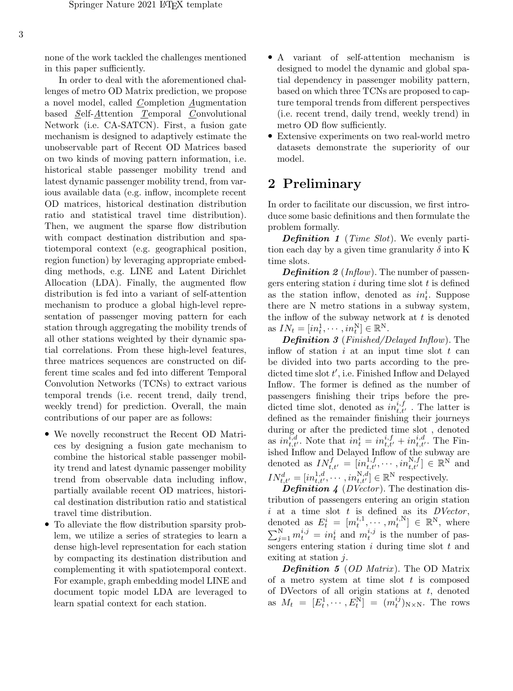none of the work tackled the challenges mentioned in this paper sufficiently.

In order to deal with the aforementioned challenges of metro OD Matrix prediction, we propose a novel model, called  $Completion$  Augmentation based Self-Attention Temporal Convolutional Network (i.e. CA-SATCN). First, a fusion gate mechanism is designed to adaptively estimate the unobservable part of Recent OD Matrices based on two kinds of moving pattern information, i.e. historical stable passenger mobility trend and latest dynamic passenger mobility trend, from various available data (e.g. inflow, incomplete recent OD matrices, historical destination distribution ratio and statistical travel time distribution). Then, we augment the sparse flow distribution with compact destination distribution and spatiotemporal context (e.g. geographical position, region function) by leveraging appropriate embedding methods, e.g. LINE and Latent Dirichlet Allocation (LDA). Finally, the augmented flow distribution is fed into a variant of self-attention mechanism to produce a global high-level representation of passenger moving pattern for each station through aggregating the mobility trends of all other stations weighted by their dynamic spatial correlations. From these high-level features, three matrices sequences are constructed on different time scales and fed into different Temporal Convolution Networks (TCNs) to extract various temporal trends (i.e. recent trend, daily trend, weekly trend) for prediction. Overall, the main contributions of our paper are as follows:

- We novelly reconstruct the Recent OD Matrices by designing a fusion gate mechanism to combine the historical stable passenger mobility trend and latest dynamic passenger mobility trend from observable data including inflow, partially available recent OD matrices, historical destination distribution ratio and statistical travel time distribution.
- To alleviate the flow distribution sparsity problem, we utilize a series of strategies to learn a dense high-level representation for each station by compacting its destination distribution and complementing it with spatiotemporal context. For example, graph embedding model LINE and document topic model LDA are leveraged to learn spatial context for each station.
- A variant of self-attention mechanism is designed to model the dynamic and global spatial dependency in passenger mobility pattern, based on which three TCNs are proposed to capture temporal trends from different perspectives (i.e. recent trend, daily trend, weekly trend) in metro OD flow sufficiently.
- Extensive experiments on two real-world metro datasets demonstrate the superiority of our model.

# <span id="page-2-0"></span>2 Preliminary

In order to facilitate our discussion, we first introduce some basic definitions and then formulate the problem formally.

**Definition 1** (Time Slot). We evenly partition each day by a given time granularity  $\delta$  into K time slots.

**Definition 2** ( $Inflow$ ). The number of passengers entering station  $i$  during time slot  $t$  is defined as the station inflow, denoted as  $in_t^i$ . Suppose there are N metro stations in a subway system, the inflow of the subway network at  $t$  is denoted as  $IN_t = [in_t^1, \cdots, in_t^N] \in \mathbb{R}^N$ .

Definition 3 (Finished/Delayed Inflow). The inflow of station  $i$  at an input time slot  $t$  can be divided into two parts according to the predicted time slot  $t'$ , i.e. Finished Inflow and Delayed Inflow. The former is defined as the number of passengers finishing their trips before the predicted time slot, denoted as  $in_{t,t'}^{i,f}$ . The latter is defined as the remainder finishing their journeys during or after the predicted time slot , denoted as  $in_{t,t'}^{i,d}$ . Note that  $in_t^i = in_{t,t'}^{i,f} + in_{t,t'}^{i,d}$ . The Finished Inflow and Delayed Inflow of the subway are denoted as  $IN_{t,t'}^f = [in_{t,t'}^{1,f}, \cdots, in_{t,t'}^{N,f}] \in \mathbb{R}^N$  and  $IN_{t,t'}^d = [in_{t,t'}^{1,d}, \cdots, in_{t,t'}^{N,d}] \in \mathbb{R}^N$  respectively.

**Definition 4** (DVector). The destination distribution of passengers entering an origin station i at a time slot  $t$  is defined as its  $DVector$ , denoted as  $E_t^i = [m_t^{i,1}, \cdots, m_t^{i,N}] \in \mathbb{R}^N$ , where  $\sum_{j=1}^{N} m_t^{i,j} = in_t^i$  and  $m_t^{i,j}$  is the number of passengers entering station  $i$  during time slot  $t$  and exiting at station j.

**Definition 5** (OD Matrix). The OD Matrix of a metro system at time slot  $t$  is composed of DVectors of all origin stations at  $t$ , denoted as  $M_t = [E_t^1, \cdots, E_t^N] = (m_t^{ij})_{N \times N}$ . The rows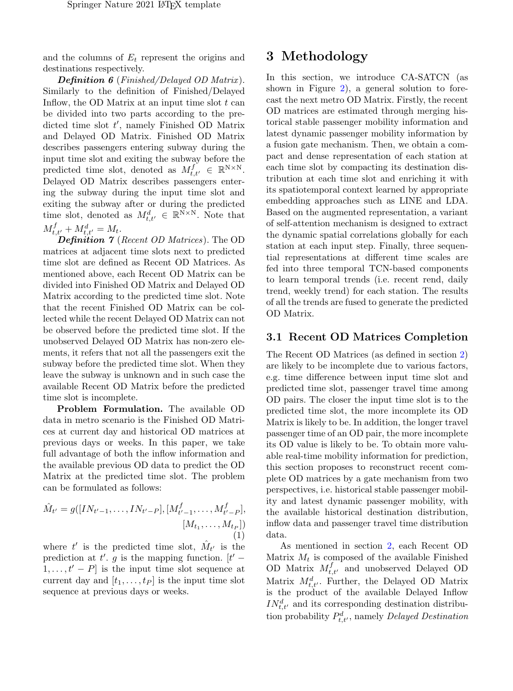and the columns of  $E_t$  represent the origins and destinations respectively.

**Definition 6** (Finished/Delayed OD Matrix). Similarly to the definition of Finished/Delayed Inflow, the OD Matrix at an input time slot  $t$  can be divided into two parts according to the predicted time slot  $t'$ , namely Finished OD Matrix and Delayed OD Matrix. Finished OD Matrix describes passengers entering subway during the input time slot and exiting the subway before the predicted time slot, denoted as  $M_{t,t'}^f \in \mathbb{R}^{N \times N}$ . Delayed OD Matrix describes passengers entering the subway during the input time slot and exiting the subway after or during the predicted time slot, denoted as  $M_{t,t'}^d \in \mathbb{R}^{N \times N}$ . Note that  $M^f_{t,t'} + M^d_{t,t'} = M_t.$ 

Definition 7 (Recent OD Matrices). The OD matrices at adjacent time slots next to predicted time slot are defined as Recent OD Matrices. As mentioned above, each Recent OD Matrix can be divided into Finished OD Matrix and Delayed OD Matrix according to the predicted time slot. Note that the recent Finished OD Matrix can be collected while the recent Delayed OD Matrix can not be observed before the predicted time slot. If the unobserved Delayed OD Matrix has non-zero elements, it refers that not all the passengers exit the subway before the predicted time slot. When they leave the subway is unknown and in such case the available Recent OD Matrix before the predicted time slot is incomplete.

Problem Formulation. The available OD data in metro scenario is the Finished OD Matrices at current day and historical OD matrices at previous days or weeks. In this paper, we take full advantage of both the inflow information and the available previous OD data to predict the OD Matrix at the predicted time slot. The problem can be formulated as follows:

$$
\hat{M}_{t'} = g([IN_{t'-1}, \dots, IN_{t'-P}], [M_{t'-1}^f, \dots, M_{t'-P}^f],
$$

$$
[M_{t_1}, \dots, M_{t_P}])
$$

$$
(1)
$$

where  $t'$  is the predicted time slot,  $\hat{M}_{t'}$  is the prediction at t'. g is the mapping function.  $[t' 1, \ldots, t' - P$  is the input time slot sequence at current day and  $[t_1, \ldots, t_P]$  is the input time slot sequence at previous days or weeks.

# 3 Methodology

In this section, we introduce CA-SATCN (as shown in Figure [2\)](#page-4-0), a general solution to forecast the next metro OD Matrix. Firstly, the recent OD matrices are estimated through merging historical stable passenger mobility information and latest dynamic passenger mobility information by a fusion gate mechanism. Then, we obtain a compact and dense representation of each station at each time slot by compacting its destination distribution at each time slot and enriching it with its spatiotemporal context learned by appropriate embedding approaches such as LINE and LDA. Based on the augmented representation, a variant of self-attention mechanism is designed to extract the dynamic spatial correlations globally for each station at each input step. Finally, three sequential representations at different time scales are fed into three temporal TCN-based components to learn temporal trends (i.e. recent rend, daily trend, weekly trend) for each station. The results of all the trends are fused to generate the predicted OD Matrix.

#### 3.1 Recent OD Matrices Completion

The Recent OD Matrices (as defined in section [2\)](#page-2-0) are likely to be incomplete due to various factors, e.g. time difference between input time slot and predicted time slot, passenger travel time among OD pairs. The closer the input time slot is to the predicted time slot, the more incomplete its OD Matrix is likely to be. In addition, the longer travel passenger time of an OD pair, the more incomplete its OD value is likely to be. To obtain more valuable real-time mobility information for prediction, this section proposes to reconstruct recent complete OD matrices by a gate mechanism from two perspectives, i.e. historical stable passenger mobility and latest dynamic passenger mobility, with the available historical destination distribution, inflow data and passenger travel time distribution data.

As mentioned in section [2,](#page-2-0) each Recent OD Matrix  $M_t$  is composed of the available Finished OD Matrix  $M_{t,t'}^f$  and unobserved Delayed OD Matrix  $M_{t,t'}^d$ . Further, the Delayed OD Matrix is the product of the available Delayed Inflow  $IN_{t,t'}^d$  and its corresponding destination distribution probability  $P_{t,t'}^d$ , namely Delayed Destination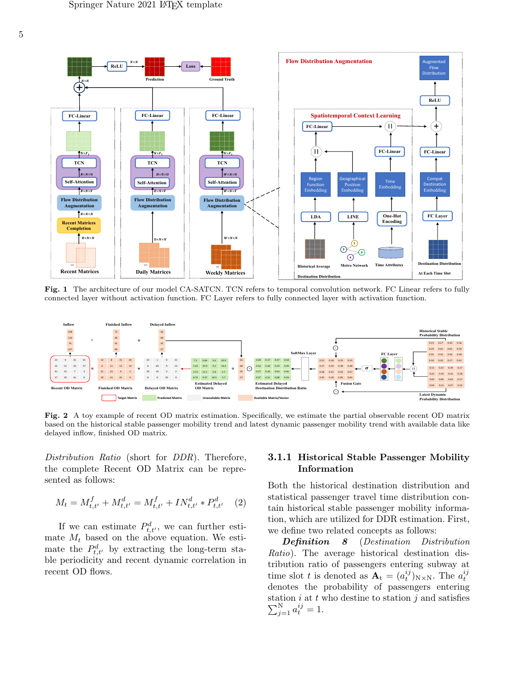

Fig. 1 The architecture of our model CA-SATCN. TCN refers to temporal convolution network. FC Linear refers to fully connected layer without activation function. FC Layer refers to fully connected layer with activation function.



<span id="page-4-0"></span>Fig. 2 A toy example of recent OD matrix estimation. Specifically, we estimate the partial observable recent OD matrix based on the historical stable passenger mobility trend and latest dynamic passenger mobility trend with available data like delayed inflow, finished OD matrix.

Distribution Ratio (short for DDR). Therefore, the complete Recent OD Matrix can be represented as follows:

<span id="page-4-1"></span>
$$
M_t = M_{t,t'}^f + M_{t,t'}^d = M_{t,t'}^f + IN_{t,t'}^d * P_{t,t'}^d \quad (2)
$$

If we can estimate  $P_{t,t}^d$ , we can further estimate  $M_t$  based on the above equation. We estimate the  $P_{t,t'}^d$  by extracting the long-term stable periodicity and recent dynamic correlation in recent OD flows.

#### 3.1.1 Historical Stable Passenger Mobility Information

Both the historical destination distribution and statistical passenger travel time distribution contain historical stable passenger mobility information, which are utilized for DDR estimation. First, we define two related concepts as follows:

Definition 8 (Destination Distribution Ratio). The average historical destination distribution ratio of passengers entering subway at time slot t is denoted as  $\mathbf{A}_t = (a_t^{ij})_{N \times N}$ . The  $a_t^{ij}$ denotes the probability of passengers entering station  $i$  at  $t$  who destine to station  $j$  and satisfies  $\sum_{j=1}^{N} a_t^{ij} = 1.$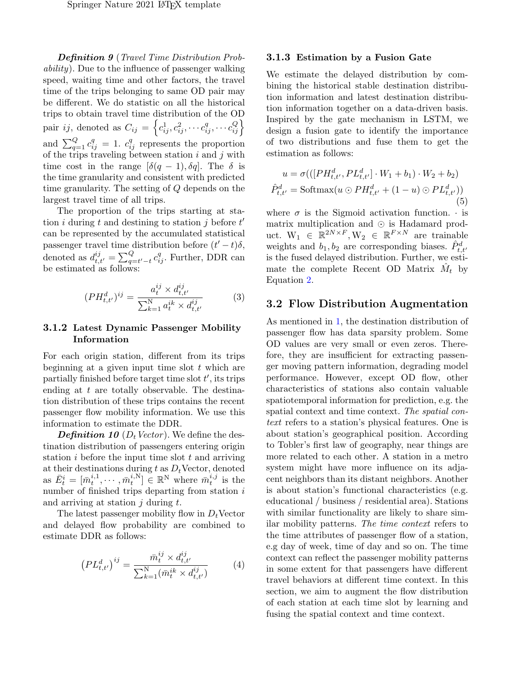Definition 9 (Travel Time Distribution Probability). Due to the influence of passenger walking speed, waiting time and other factors, the travel time of the trips belonging to same OD pair may be different. We do statistic on all the historical trips to obtain travel time distribution of the OD pair ij, denoted as  $C_{ij} = \left\{c_{ij}^1, c_{ij}^2, \cdots c_{ij}^q, \cdots c_{ij}^Q\right\}$ and  $\sum_{q=1}^{Q} c_{ij}^{q} = 1$ .  $c_{ij}^{q}$  represents the proportion of the trips traveling between station  $i$  and  $j$  with time cost in the range  $[\delta(q-1), \delta q]$ . The  $\delta$  is the time granularity and consistent with predicted time granularity. The setting of Q depends on the largest travel time of all trips.

The proportion of the trips starting at station *i* during t and destining to station *j* before  $t'$ can be represented by the accumulated statistical passenger travel time distribution before  $(t'-t)\delta$ , denoted as  $d_{t,t'}^{ij} = \sum_{q=t'-t}^{Q} c_{ij}^{q}$ . Further, DDR can be estimated as follows:

$$
(PH_{t,t'}^{d})^{ij} = \frac{a_t^{ij} \times d_{t,t'}^{ij}}{\sum_{k=1}^N a_t^{ik} \times d_{t,t'}^{ij}}
$$
(3)

#### 3.1.2 Latest Dynamic Passenger Mobility Information

For each origin station, different from its trips beginning at a given input time slot  $t$  which are partially finished before target time slot  $t'$ , its trips ending at  $t$  are totally observable. The destination distribution of these trips contains the recent passenger flow mobility information. We use this information to estimate the DDR.

**Definition 10** ( $D_t$  Vector). We define the destination distribution of passengers entering origin station  $i$  before the input time slot  $t$  and arriving at their destinations during t as  $D_t$ Vector, denoted as  $\bar{E}_t^i = [\bar{m}_t^{i,1}, \cdots, \bar{m}_t^{i,N}] \in \mathbb{R}^N$  where  $\bar{m}_t^{i,j}$  is the number of finished trips departing from station i and arriving at station  $i$  during  $t$ .

The latest passenger mobility flow in  $D_t$ Vector and delayed flow probability are combined to estimate DDR as follows:

$$
\left(PL_{t,t'}^{d}\right)^{ij} = \frac{\bar{m}_t^{ij} \times d_{t,t'}^{ij}}{\sum_{k=1}^N (\bar{m}_t^{ik} \times d_{t,t'}^{ij})}
$$
(4)

#### 3.1.3 Estimation by a Fusion Gate

We estimate the delayed distribution by combining the historical stable destination distribution information and latest destination distribution information together on a data-driven basis. Inspired by the gate mechanism in LSTM, we design a fusion gate to identify the importance of two distributions and fuse them to get the estimation as follows:

$$
u = \sigma(([PH_{t,t'}^d, PL_{t,t'}^d] \cdot W_1 + b_1) \cdot W_2 + b_2)
$$
  

$$
\hat{P}_{t,t'}^d = \text{Softmax}(u \odot PH_{t,t'}^d + (1 - u) \odot PL_{t,t'}^d))
$$
  
(5)

where  $\sigma$  is the Sigmoid activation function.  $\cdot$  is matrix multiplication and  $\odot$  is Hadamard product.  $W_1 \in \mathbb{R}^{2N \times F}$ ,  $W_2 \in \mathbb{R}^{F \times N}$  are trainable weights and  $b_1, b_2$  are corresponding biases.  $\hat{P}^d_{t,t'}$ is the fused delayed distribution. Further, we estimate the complete Recent OD Matrix  $\hat{M}_t$  by Equation [2.](#page-4-1)

#### 3.2 Flow Distribution Augmentation

As mentioned in [1,](#page-0-0) the destination distribution of passenger flow has data sparsity problem. Some OD values are very small or even zeros. Therefore, they are insufficient for extracting passenger moving pattern information, degrading model performance. However, except OD flow, other characteristics of stations also contain valuable spatiotemporal information for prediction, e.g. the spatial context and time context. The spatial context refers to a station's physical features. One is about station's geographical position. According to Tobler's first law of geography, near things are more related to each other. A station in a metro system might have more influence on its adjacent neighbors than its distant neighbors. Another is about station's functional characteristics (e.g. educational / business / residential area). Stations with similar functionality are likely to share similar mobility patterns. The time context refers to the time attributes of passenger flow of a station, e.g day of week, time of day and so on. The time context can reflect the passenger mobility patterns in some extent for that passengers have different travel behaviors at different time context. In this section, we aim to augment the flow distribution of each station at each time slot by learning and fusing the spatial context and time context.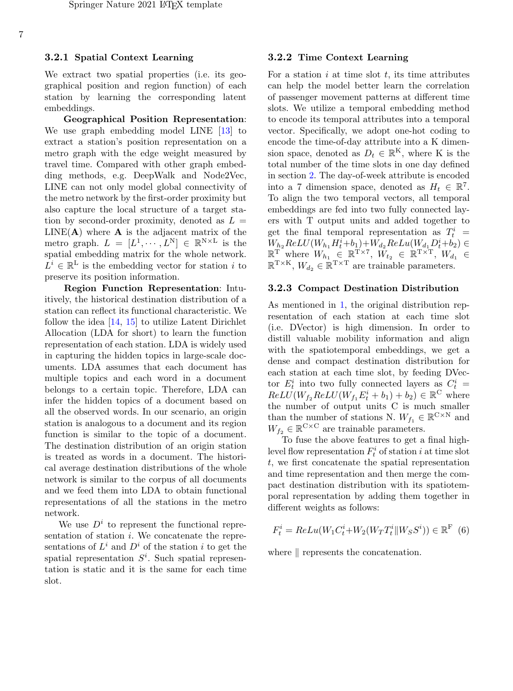#### 3.2.1 Spatial Context Learning

We extract two spatial properties (i.e. its geographical position and region function) of each station by learning the corresponding latent embeddings.

Geographical Position Representation: We use graph embedding model LINE [\[13\]](#page-15-9) to extract a station's position representation on a metro graph with the edge weight measured by travel time. Compared with other graph embedding methods, e.g. DeepWalk and Node2Vec, LINE can not only model global connectivity of the metro network by the first-order proximity but also capture the local structure of a target station by second-order proximity, denoted as  $L =$  $LINE(A)$  where **A** is the adjacent matrix of the metro graph.  $L = [L^1, \dots, L^N] \in \mathbb{R}^{N \times L}$  is the spatial embedding matrix for the whole network.  $L^i \in \mathbb{R}^L$  is the embedding vector for station i to preserve its position information.

Region Function Representation: Intuitively, the historical destination distribution of a station can reflect its functional characteristic. We follow the idea [\[14,](#page-15-10) [15\]](#page-15-11) to utilize Latent Dirichlet Allocation (LDA for short) to learn the function representation of each station. LDA is widely used in capturing the hidden topics in large-scale documents. LDA assumes that each document has multiple topics and each word in a document belongs to a certain topic. Therefore, LDA can infer the hidden topics of a document based on all the observed words. In our scenario, an origin station is analogous to a document and its region function is similar to the topic of a document. The destination distribution of an origin station is treated as words in a document. The historical average destination distributions of the whole network is similar to the corpus of all documents and we feed them into LDA to obtain functional representations of all the stations in the metro network.

We use  $D^i$  to represent the functional representation of station i. We concatenate the representations of  $L^i$  and  $D^i$  of the station i to get the spatial representation  $S<sup>i</sup>$ . Such spatial representation is static and it is the same for each time slot.

#### 3.2.2 Time Context Learning

For a station  $i$  at time slot  $t$ , its time attributes can help the model better learn the correlation of passenger movement patterns at different time slots. We utilize a temporal embedding method to encode its temporal attributes into a temporal vector. Specifically, we adopt one-hot coding to encode the time-of-day attribute into a K dimension space, denoted as  $D_t \in \mathbb{R}^K$ , where K is the total number of the time slots in one day defined in section [2.](#page-2-0) The day-of-week attribute is encoded into a 7 dimension space, denoted as  $H_t \in \mathbb{R}^7$ . To align the two temporal vectors, all temporal embeddings are fed into two fully connected layers with T output units and added together to get the final temporal representation as  $T_t^i$  =  $W_{h_2}ReLU(W_{h_1}H_t^i + b_1) + W_{d_2}ReLU(W_{d_1}D_t^i + b_2) \in$  $\mathbb{R}^{\mathrm{T}}$  where  $W_{h_1} \in \mathbb{R}^{\mathrm{T} \times 7}$ ,  $W_{t_2} \in \mathbb{R}^{\mathrm{T} \times \mathrm{T}}$ ,  $W_{d_1} \in$  $\mathbb{R}^{T\times K}$ ,  $W_{d_2} \in \mathbb{R}^{T\times T}$  are trainable parameters.

#### 3.2.3 Compact Destination Distribution

As mentioned in [1,](#page-0-0) the original distribution representation of each station at each time slot (i.e. DVector) is high dimension. In order to distill valuable mobility information and align with the spatiotemporal embeddings, we get a dense and compact destination distribution for each station at each time slot, by feeding DVector  $E_t^i$  into two fully connected layers as  $C_t^i$  =  $ReLU(W_{f_2}ReLU(W_{f_1}E_t^i + b_1) + b_2) \in \mathbb{R}^C$  where the number of output units C is much smaller than the number of stations N.  $W_{f_1} \in \mathbb{R}^{C \times N}$  and  $W_{f_2} \in \mathbb{R}^{C \times C}$  are trainable parameters.

To fuse the above features to get a final highlevel flow representation  $F_t^i$  of station i at time slot t, we first concatenate the spatial representation and time representation and then merge the compact destination distribution with its spatiotemporal representation by adding them together in different weights as follows:

$$
F_t^i = ReLu(W_1 C_t^i + W_2(W_T T_t^i || W_S S^i)) \in \mathbb{R}^F
$$
 (6)

where  $\parallel$  represents the concatenation.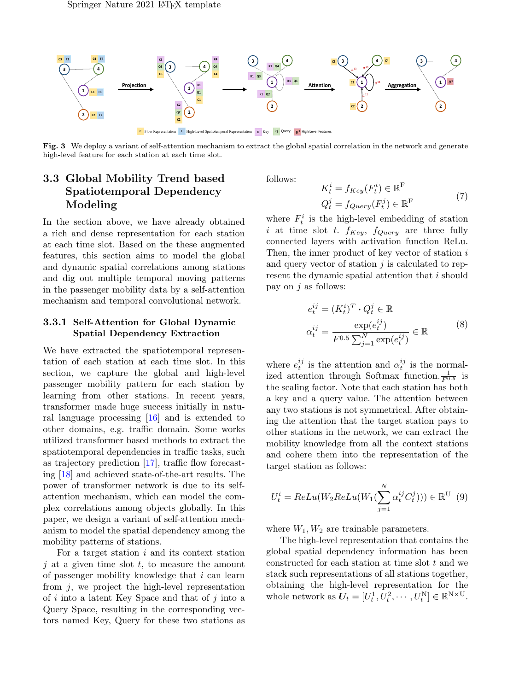

Fig. 3 We deploy a variant of self-attention mechanism to extract the global spatial correlation in the network and generate high-level feature for each station at each time slot.

## 3.3 Global Mobility Trend based Spatiotemporal Dependency Modeling

In the section above, we have already obtained a rich and dense representation for each station at each time slot. Based on the these augmented features, this section aims to model the global and dynamic spatial correlations among stations and dig out multiple temporal moving patterns in the passenger mobility data by a self-attention mechanism and temporal convolutional network.

#### 3.3.1 Self-Attention for Global Dynamic Spatial Dependency Extraction

We have extracted the spatiotemporal representation of each station at each time slot. In this section, we capture the global and high-level passenger mobility pattern for each station by learning from other stations. In recent years, transformer made huge success initially in natural language processing [\[16\]](#page-15-12) and is extended to other domains, e.g. traffic domain. Some works utilized transformer based methods to extract the spatiotemporal dependencies in traffic tasks, such as trajectory prediction [\[17\]](#page-15-13), traffic flow forecasting [\[18\]](#page-15-14) and achieved state-of-the-art results. The power of transformer network is due to its selfattention mechanism, which can model the complex correlations among objects globally. In this paper, we design a variant of self-attention mechanism to model the spatial dependency among the mobility patterns of stations.

For a target station  $i$  and its context station  $i$  at a given time slot  $t$ , to measure the amount of passenger mobility knowledge that i can learn from  $i$ , we project the high-level representation of  $i$  into a latent Key Space and that of  $j$  into a Query Space, resulting in the corresponding vectors named Key, Query for these two stations as

follows:

$$
K_t^i = f_{Key}(F_t^i) \in \mathbb{R}^F
$$
  

$$
Q_t^j = f_{Query}(F_t^j) \in \mathbb{R}^F
$$
 (7)

where  $F_t^i$  is the high-level embedding of station i at time slot t.  $f_{Key}$ ,  $f_{Query}$  are three fully connected layers with activation function ReLu. Then, the inner product of key vector of station i and query vector of station  $j$  is calculated to represent the dynamic spatial attention that i should pay on  $j$  as follows:

$$
e_t^{ij} = (K_t^i)^T \cdot Q_t^j \in \mathbb{R}
$$
  

$$
\alpha_t^{ij} = \frac{\exp(e_t^{ij})}{F^{0.5} \sum_{j=1}^N \exp(e_t^{ij})} \in \mathbb{R}
$$
 (8)

where  $e_t^{ij}$  is the attention and  $\alpha_t^{ij}$  is the normalized attention through Softmax function.  $\frac{1}{F^{0.5}}$  is the scaling factor. Note that each station has both a key and a query value. The attention between any two stations is not symmetrical. After obtaining the attention that the target station pays to other stations in the network, we can extract the mobility knowledge from all the context stations and cohere them into the representation of the target station as follows:

$$
U_t^i = ReLu(W_2 ReLu(W_1(\sum_{j=1}^N \alpha_t^{ij} C_t^j))) \in \mathbb{R}^U
$$
 (9)

where  $W_1, W_2$  are trainable parameters.

The high-level representation that contains the global spatial dependency information has been constructed for each station at time slot t and we stack such representations of all stations together, obtaining the high-level representation for the whole network as  $U_t = [U_t^1, U_t^2, \cdots, U_t^N] \in \mathbb{R}^{N \times U}$ .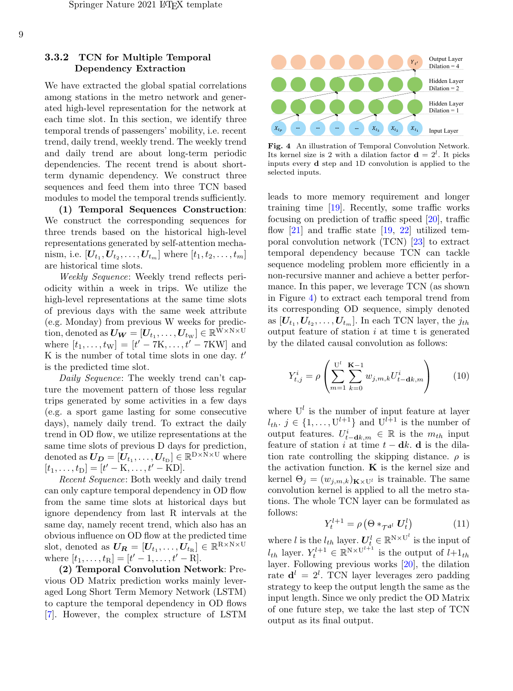#### 3.3.2 TCN for Multiple Temporal Dependency Extraction

We have extracted the global spatial correlations among stations in the metro network and generated high-level representation for the network at each time slot. In this section, we identify three temporal trends of passengers' mobility, i.e. recent trend, daily trend, weekly trend. The weekly trend and daily trend are about long-term periodic dependencies. The recent trend is about shortterm dynamic dependency. We construct three sequences and feed them into three TCN based modules to model the temporal trends sufficiently.

(1) Temporal Sequences Construction: We construct the corresponding sequences for three trends based on the historical high-level representations generated by self-attention mechanism, i.e.  $[\boldsymbol{U}_{t_1}, \boldsymbol{U}_{t_2}, \dots, \boldsymbol{U}_{t_m}]$  where  $[t_1, t_2, \dots, t_m]$ are historical time slots.

Weekly Sequence: Weekly trend reflects periodicity within a week in trips. We utilize the high-level representations at the same time slots of previous days with the same week attribute (e.g. Monday) from previous W weeks for prediction, denoted as  $\boldsymbol{U_W} = [\boldsymbol{U_{t_1}}, \dots, \boldsymbol{U_{t_W}}] \in \mathbb{R}^{W \times N \times U}$ where  $[t_1, ..., t_w] = [t' - 7K, ..., t' - 7KW]$  and K is the number of total time slots in one day.  $t'$ is the predicted time slot.

Daily Sequence: The weekly trend can't capture the movement pattern of those less regular trips generated by some activities in a few days (e.g. a sport game lasting for some consecutive days), namely daily trend. To extract the daily trend in OD flow, we utilize representations at the same time slots of previous D days for prediction, denoted as  $\boldsymbol{U_D} = [\boldsymbol{U_{t_1}}, \dots, \boldsymbol{U_{t_D}}] \in \mathbb{R}^{D \times N \times U}$  where  $[t_1, \ldots, t_D] = [t' - K, \ldots, t' - KD].$ 

Recent Sequence: Both weekly and daily trend can only capture temporal dependency in OD flow from the same time slots at historical days but ignore dependency from last R intervals at the same day, namely recent trend, which also has an obvious influence on OD flow at the predicted time slot, denoted as  $\boldsymbol{U_R} = [\boldsymbol{U_{t_1}}, \dots, \boldsymbol{U_{t_R}}] \in \mathbb{R}^{R \times N \times U}$ where  $[t_1, ..., t_R] = [t' - 1, ..., t' - R]$ .

(2) Temporal Convolution Network: Previous OD Matrix prediction works mainly leveraged Long Short Term Memory Network (LSTM) to capture the temporal dependency in OD flows [\[7\]](#page-15-3). However, the complex structure of LSTM



<span id="page-8-0"></span>Fig. 4 An illustration of Temporal Convolution Network. Its kernel size is 2 with a dilation factor  $\mathbf{d} = 2^l$ . It picks inputs every d step and 1D convolution is applied to the selected inputs.

leads to more memory requirement and longer training time [\[19\]](#page-16-0). Recently, some traffic works focusing on prediction of traffic speed [\[20\]](#page-16-1), traffic flow  $[21]$  and traffic state  $[19, 22]$  $[19, 22]$  $[19, 22]$  utilized temporal convolution network (TCN) [\[23\]](#page-16-4) to extract temporal dependency because TCN can tackle sequence modeling problem more efficiently in a non-recursive manner and achieve a better performance. In this paper, we leverage TCN (as shown in Figure [4\)](#page-8-0) to extract each temporal trend from its corresponding OD sequence, simply denoted as  $[U_{t_1}, U_{t_2}, \ldots, U_{t_m}]$ . In each TCN layer, the  $j_{th}$ output feature of station i at time t is generated by the dilated causal convolution as follows:

$$
Y_{t,j}^i = \rho \left( \sum_{m=1}^{U^l} \sum_{k=0}^{K-1} w_{j,m,k} U_{t-\mathbf{d}k,m}^i \right) \qquad (10)
$$

where  $U^l$  is the number of input feature at layer  $l_{th}$ ,  $j \in \{1, \ldots, U^{l+1}\}$  and  $U^{l+1}$  is the number of output features.  $U_{t-\mathbf{d}k,m}^i \in \mathbb{R}$  is the  $m_{th}$  input feature of station i at time  $t - dk$ . d is the dilation rate controlling the skipping distance.  $\rho$  is the activation function.  $\bf{K}$  is the kernel size and kernel  $\Theta_j = (w_{j,m,k})_{\mathbf{K}\times\mathbf{U}^l}$  is trainable. The same convolution kernel is applied to all the metro stations. The whole TCN layer can be formulated as follows:

$$
Y_t^{l+1} = \rho \left(\Theta *_{\mathcal{T}^{d^l}} \mathbf{U}_t^l\right) \tag{11}
$$

where l is the  $l_{th}$  layer.  $U_t^l \in \mathbb{R}^{N \times U^l}$  is the input of  $l_{th}$  layer.  $Y_t^{l+1} \in \mathbb{R}^{N \times U^{l+1}}$  is the output of  $l+1_{th}$ layer. Following previous works [\[20\]](#page-16-1), the dilation rate  $\mathbf{d}^l = 2^l$ . TCN layer leverages zero padding strategy to keep the output length the same as the input length. Since we only predict the OD Matrix of one future step, we take the last step of TCN output as its final output.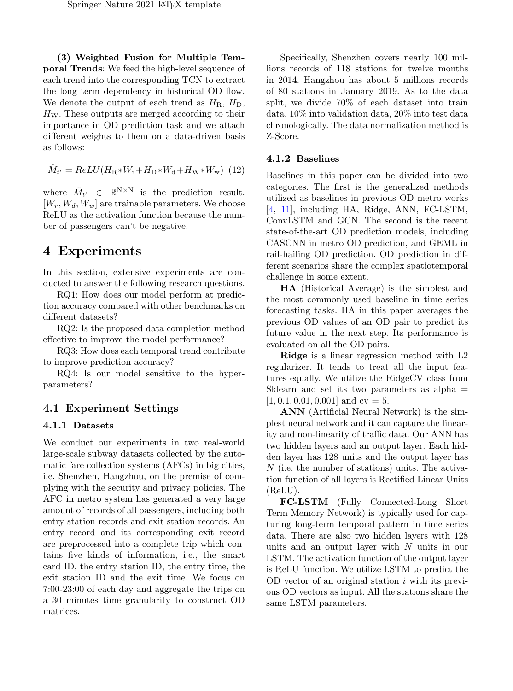(3) Weighted Fusion for Multiple Temporal Trends: We feed the high-level sequence of each trend into the corresponding TCN to extract the long term dependency in historical OD flow. We denote the output of each trend as  $H<sub>R</sub>$ ,  $H<sub>D</sub>$ ,  $H_W$ . These outputs are merged according to their importance in OD prediction task and we attach different weights to them on a data-driven basis as follows:

$$
\hat{M}_{t'} = ReLU(H_{\rm R} * W_{\rm r} + H_{\rm D} * W_{\rm d} + H_{\rm W} * W_{\rm w})
$$
 (12)

where  $\hat{M}_{t'} \in \mathbb{R}^{N \times N}$  is the prediction result.  $[W_r, W_d, W_w]$  are trainable parameters. We choose ReLU as the activation function because the number of passengers can't be negative.

# 4 Experiments

In this section, extensive experiments are conducted to answer the following research questions.

RQ1: How does our model perform at prediction accuracy compared with other benchmarks on different datasets?

RQ2: Is the proposed data completion method effective to improve the model performance?

RQ3: How does each temporal trend contribute to improve prediction accuracy?

RQ4: Is our model sensitive to the hyperparameters?

### 4.1 Experiment Settings

#### 4.1.1 Datasets

We conduct our experiments in two real-world large-scale subway datasets collected by the automatic fare collection systems (AFCs) in big cities, i.e. Shenzhen, Hangzhou, on the premise of complying with the security and privacy policies. The AFC in metro system has generated a very large amount of records of all passengers, including both entry station records and exit station records. An entry record and its corresponding exit record are preprocessed into a complete trip which contains five kinds of information, i.e., the smart card ID, the entry station ID, the entry time, the exit station ID and the exit time. We focus on 7:00-23:00 of each day and aggregate the trips on a 30 minutes time granularity to construct OD matrices.

Specifically, Shenzhen covers nearly 100 millions records of 118 stations for twelve months in 2014. Hangzhou has about 5 millions records of 80 stations in January 2019. As to the data split, we divide 70% of each dataset into train data, 10% into validation data, 20% into test data chronologically. The data normalization method is Z-Score.

#### 4.1.2 Baselines

Baselines in this paper can be divided into two categories. The first is the generalized methods utilized as baselines in previous OD metro works [\[4,](#page-15-0) [11\]](#page-15-8), including HA, Ridge, ANN, FC-LSTM, ConvLSTM and GCN. The second is the recent state-of-the-art OD prediction models, including CASCNN in metro OD prediction, and GEML in rail-hailing OD prediction. OD prediction in different scenarios share the complex spatiotemporal challenge in some extent.

HA (Historical Average) is the simplest and the most commonly used baseline in time series forecasting tasks. HA in this paper averages the previous OD values of an OD pair to predict its future value in the next step. Its performance is evaluated on all the OD pairs.

Ridge is a linear regression method with L2 regularizer. It tends to treat all the input features equally. We utilize the RidgeCV class from Sklearn and set its two parameters as alpha  $=$  $[1, 0.1, 0.01, 0.001]$  and cv = 5.

ANN (Artificial Neural Network) is the simplest neural network and it can capture the linearity and non-linearity of traffic data. Our ANN has two hidden layers and an output layer. Each hidden layer has 128 units and the output layer has N (i.e. the number of stations) units. The activation function of all layers is Rectified Linear Units (ReLU).

FC-LSTM (Fully Connected-Long Short Term Memory Network) is typically used for capturing long-term temporal pattern in time series data. There are also two hidden layers with 128 units and an output layer with N units in our LSTM. The activation function of the output layer is ReLU function. We utilize LSTM to predict the OD vector of an original station  $i$  with its previous OD vectors as input. All the stations share the same LSTM parameters.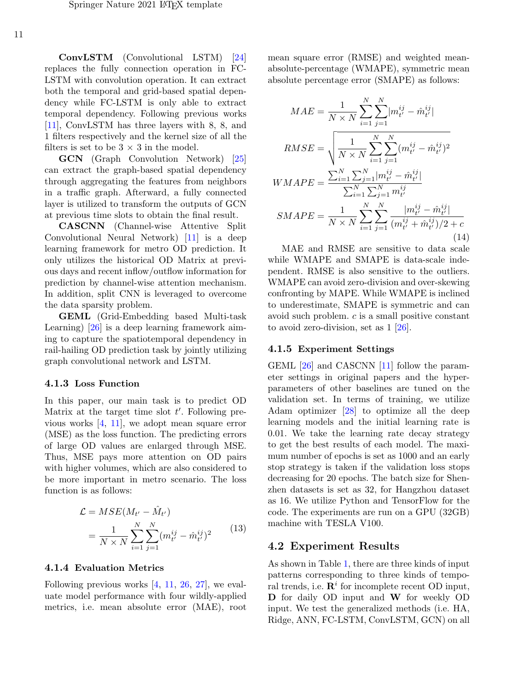ConvLSTM (Convolutional LSTM) [\[24\]](#page-16-5) replaces the fully connection operation in FC-LSTM with convolution operation. It can extract both the temporal and grid-based spatial dependency while FC-LSTM is only able to extract temporal dependency. Following previous works [\[11\]](#page-15-8), ConvLSTM has three layers with 8, 8, and 1 filters respectively and the kernel size of all the filters is set to be  $3 \times 3$  in the model.

GCN (Graph Convolution Network) [\[25\]](#page-16-6) can extract the graph-based spatial dependency through aggregating the features from neighbors in a traffic graph. Afterward, a fully connected layer is utilized to transform the outputs of GCN at previous time slots to obtain the final result.

CASCNN (Channel-wise Attentive Split Convolutional Neural Network) [\[11\]](#page-15-8) is a deep learning framework for metro OD prediction. It only utilizes the historical OD Matrix at previous days and recent inflow/outflow information for prediction by channel-wise attention mechanism. In addition, split CNN is leveraged to overcome the data sparsity problem.

GEML (Grid-Embedding based Multi-task Learning) [\[26\]](#page-16-7) is a deep learning framework aiming to capture the spatiotemporal dependency in rail-hailing OD prediction task by jointly utilizing graph convolutional network and LSTM.

#### 4.1.3 Loss Function

In this paper, our main task is to predict OD Matrix at the target time slot  $t'$ . Following previous works [\[4,](#page-15-0) [11\]](#page-15-8), we adopt mean square error (MSE) as the loss function. The predicting errors of large OD values are enlarged through MSE. Thus, MSE pays more attention on OD pairs with higher volumes, which are also considered to be more important in metro scenario. The loss function is as follows:

$$
\mathcal{L} = MSE(M_{t'} - \hat{M}_{t'})
$$
  
= 
$$
\frac{1}{N \times N} \sum_{i=1}^{N} \sum_{j=1}^{N} (m_{t'}^{ij} - \hat{m}_{t'}^{ij})^2
$$
 (13)

#### 4.1.4 Evaluation Metrics

Following previous works [\[4,](#page-15-0) [11,](#page-15-8) [26,](#page-16-7) [27\]](#page-16-8), we evaluate model performance with four wildly-applied metrics, i.e. mean absolute error (MAE), root mean square error (RMSE) and weighted meanabsolute-percentage (WMAPE), symmetric mean absolute percentage error (SMAPE) as follows:

$$
MAE = \frac{1}{N \times N} \sum_{i=1}^{N} \sum_{j=1}^{N} |m_{t'}^{ij} - \hat{m}_{t'}^{ij}|
$$
  
\n
$$
RMSE = \sqrt{\frac{1}{N \times N} \sum_{i=1}^{N} \sum_{j=1}^{N} (m_{t'}^{ij} - \hat{m}_{t'}^{ij})^2}
$$
  
\n
$$
WMAPE = \frac{\sum_{i=1}^{N} \sum_{j=1}^{N} |m_{t'}^{ij} - \hat{m}_{t'}^{ij}|}{\sum_{i=1}^{N} \sum_{j=1}^{N} m_{t'}^{ij}}
$$
  
\n
$$
SMAPE = \frac{1}{N \times N} \sum_{i=1}^{N} \sum_{j=1}^{N} \frac{|m_{t'}^{ij} - \hat{m}_{t'}^{ij}|}{(m_{t'}^{ij} + \hat{m}_{t'}^{ij})/2 + c}
$$
\n(14)

MAE and RMSE are sensitive to data scale while WMAPE and SMAPE is data-scale independent. RMSE is also sensitive to the outliers. WMAPE can avoid zero-division and over-skewing confronting by MAPE. While WMAPE is inclined to underestimate, SMAPE is symmetric and can avoid such problem. c is a small positive constant to avoid zero-division, set as 1 [\[26\]](#page-16-7).

#### 4.1.5 Experiment Settings

GEML [\[26\]](#page-16-7) and CASCNN [\[11\]](#page-15-8) follow the parameter settings in original papers and the hyperparameters of other baselines are tuned on the validation set. In terms of training, we utilize Adam optimizer [\[28\]](#page-16-9) to optimize all the deep learning models and the initial learning rate is 0.01. We take the learning rate decay strategy to get the best results of each model. The maximum number of epochs is set as 1000 and an early stop strategy is taken if the validation loss stops decreasing for 20 epochs. The batch size for Shenzhen datasets is set as 32, for Hangzhou dataset as 16. We utilize Python and TensorFlow for the code. The experiments are run on a GPU (32GB) machine with TESLA V100.

#### 4.2 Experiment Results

As shown in Table [1,](#page-11-0) there are three kinds of input patterns corresponding to three kinds of temporal trends, i.e.  $\mathbf{R}^i$  for incomplete recent OD input, D for daily OD input and W for weekly OD input. We test the generalized methods (i.e. HA, Ridge, ANN, FC-LSTM, ConvLSTM, GCN) on all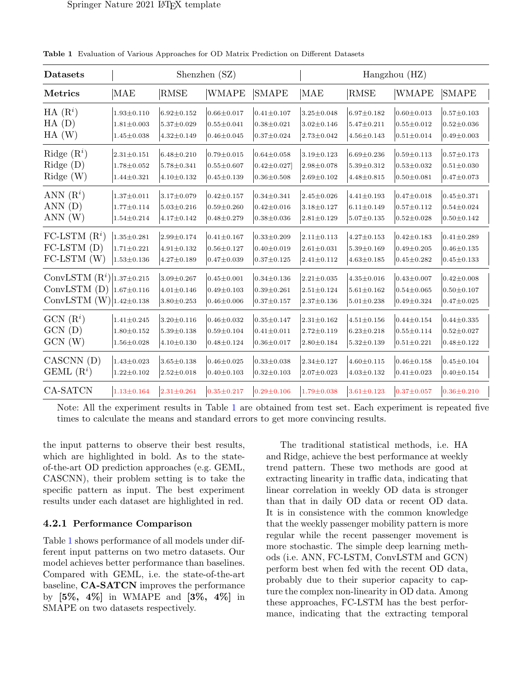| <b>Datasets</b>                  | Shenzhen (SZ)    |                  |                  |                  | Hangzhou (HZ)     |                  |                   |                  |
|----------------------------------|------------------|------------------|------------------|------------------|-------------------|------------------|-------------------|------------------|
| <b>Metrics</b>                   | MAE              | RMSE             | WMAPE            | <b>SMAPE</b>     | <b>MAE</b>        | RMSE             | <b>WMAPE</b>      | <b>SMAPE</b>     |
| $HA(R^i)$                        | $1.93 \pm 0.110$ | $6.92 \pm 0.152$ | $0.66 \pm 0.017$ | $0.41 \pm 0.107$ | $3.25 \pm 0.048$  | $6.97 \pm 0.182$ | $0.60 \pm 0.013$  | $0.57 \pm 0.103$ |
| $HA$ $(D)$                       | $1.81 \pm 0.003$ | $5.37 \pm 0.029$ | $0.55 \pm 0.041$ | $0.38 + 0.021$   | $3.02 \pm 0.146$  | $5.47 \pm 0.211$ | $0.55 + 0.012$    | $0.52 \pm 0.036$ |
| HA(W)                            | $1.45 \pm 0.038$ | $4.32 \pm 0.149$ | $0.46 \pm 0.045$ | $0.37 \pm 0.024$ | $2.73 \pm 0.042$  | $4.56 \pm 0.143$ | $0.51 \pm 0.014$  | $0.49 + 0.003$   |
| Ridge $(R^i)$                    | $2.31 \pm 0.151$ | $6.48 \pm 0.210$ | $0.79 \pm 0.015$ | $0.64 \pm 0.058$ | $3.19 \pm 0.123$  | $6.69 \pm 0.236$ | $0.59 \pm 0.113$  | $0.57 \pm 0.173$ |
| Ridge (D)                        | $1.78 \pm 0.052$ | $5.78 \pm 0.341$ | $0.55 \pm 0.607$ | $0.42 \pm 0.027$ | $2.98 \pm 0.078$  | $5.39 \pm 0.312$ | $0.53 + 0.032$    | $0.51 \pm 0.030$ |
| $\text{Ridge}$ (W)               | $1.44 \pm 0.321$ | $4.10 \pm 0.132$ | $0.45 \pm 0.139$ | $0.36 \pm 0.508$ | $2.69 \pm 0.102$  | $4.48 \pm 0.815$ | $0.50 \pm 0.081$  | $0.47 + 0.073$   |
| ANN $(R^i)$                      | $1.37 \pm 0.011$ | $3.17 \pm 0.079$ | $0.42 \pm 0.157$ | $0.34 \pm 0.341$ | $2.45 \pm 0.026$  | $4.41 \pm 0.193$ | $0.47 \pm 0.018$  | $0.45 + 0.371$   |
| ANN(D)                           | $1.77 \pm 0.114$ | $5.03 \pm 0.216$ | $0.59 + 0.260$   | $0.42 \pm 0.016$ | $3.18 \pm 0.127$  | $6.11 \pm 0.149$ | $0.57 \pm 0.112$  | $0.54 \pm 0.024$ |
| ANN(W)                           | $1.54 \pm 0.214$ | $4.17 \pm 0.142$ | $0.48 + 0.279$   | $0.38 \pm 0.036$ | $ 2.81 \pm 0.129$ | $5.07 \pm 0.135$ | $ 0.52 \pm 0.028$ | $0.50 \pm 0.142$ |
| FC-LSTM $(Ri)$                   | $1.35 \pm 0.281$ | $2.99 \pm 0.174$ | $0.41 \pm 0.167$ | $0.33 \pm 0.209$ | $2.11 \pm 0.113$  | $4.27 \pm 0.153$ | $0.42 \pm 0.183$  | $0.41 \pm 0.289$ |
| $FC-LSTM$ (D)                    | $1.71 \pm 0.221$ | $4.91 \pm 0.132$ | $0.56 \pm 0.127$ | $0.40 \pm 0.019$ | $2.61 \pm 0.031$  | $5.39 \pm 0.169$ | $0.49 \pm 0.205$  | $0.46 \pm 0.135$ |
| $FC-LSTM (W)$                    | $1.53 \pm 0.136$ | $4.27 \pm 0.189$ | $0.47 + 0.039$   | $0.37 \pm 0.125$ | $2.41 \pm 0.112$  | $4.63 \pm 0.185$ | $0.45 \pm 0.282$  | $0.45 \pm 0.133$ |
| ConvLSTM $(R^i) _{1.37\pm0.215}$ | $1.67 \pm 0.116$ | $3.09 \pm 0.267$ | $0.45 \pm 0.001$ | $0.34 \pm 0.136$ | $2.21 \pm 0.035$  | $4.35 \pm 0.016$ | $0.43 \pm 0.007$  | $0.42 \pm 0.008$ |
| ConvLSTM(D)                      |                  | $4.01 \pm 0.146$ | $0.49 \pm 0.103$ | $0.39 \pm 0.261$ | $2.51 \pm 0.124$  | $5.61 \pm 0.162$ | $0.54 \pm 0.065$  | $0.50 \pm 0.107$ |
| ConvLSTM $(W)$  1.42 $\pm$ 0.138 |                  | $3.80 \pm 0.253$ | $0.46 \pm 0.006$ | $0.37 \pm 0.157$ | $2.37 \pm 0.136$  | $5.01 \pm 0.238$ | $0.49 \pm 0.324$  | $0.47 + 0.025$   |
| $GCN(R^i)$                       | $1.41 \pm 0.245$ | $3.20 \pm 0.116$ | $0.46 \pm 0.032$ | $0.35 \pm 0.147$ | $2.31 \pm 0.162$  | $4.51 \pm 0.156$ | $0.44 \pm 0.154$  | $0.44 + 0.335$   |
| GCN(D)                           | $1.80 \pm 0.152$ | $5.39 \pm 0.138$ | $0.59 \pm 0.104$ | $0.41 \pm 0.011$ | $2.72 \pm 0.119$  | $6.23 \pm 0.218$ | $0.55 \pm 0.114$  | $0.52 \pm 0.027$ |
| GCN(W)                           | $1.56 \pm 0.028$ | $4.10 \pm 0.130$ | $0.48 + 0.124$   | $0.36 \pm 0.017$ | $2.80 \pm 0.184$  | $5.32 \pm 0.139$ | $ 0.51 \pm 0.221$ | $0.48 \pm 0.122$ |
| CASCNN (D)                       | $1.43 \pm 0.023$ | $3.65 \pm 0.138$ | $0.46 \pm 0.025$ | $0.33 \pm 0.038$ | $2.34 \pm 0.127$  | $4.60 \pm 0.115$ | $0.46 \pm 0.158$  | $0.45 \pm 0.104$ |
| GEML $(R^i)$                     | $1.22 \pm 0.102$ | $2.52 \pm 0.018$ | $0.40 \pm 0.103$ | $0.32 \pm 0.103$ | $2.07 \pm 0.023$  | $4.03 \pm 0.132$ | $0.41 \pm 0.023$  | $0.40 \pm 0.154$ |
| CA-SATCN                         | $1.13 \pm 0.164$ | $2.31 \pm 0.261$ | $0.35 \pm 0.217$ | $0.29 \pm 0.106$ | $1.79 \pm 0.038$  | $3.61 \pm 0.123$ | $0.37 \pm 0.057$  | $0.36 \pm 0.210$ |

<span id="page-11-0"></span>Table 1 Evaluation of Various Approaches for OD Matrix Prediction on Different Datasets

Note: All the experiment results in Table [1](#page-11-0) are obtained from test set. Each experiment is repeated five times to calculate the means and standard errors to get more convincing results.

the input patterns to observe their best results, which are highlighted in bold. As to the stateof-the-art OD prediction approaches (e.g. GEML, CASCNN), their problem setting is to take the specific pattern as input. The best experiment results under each dataset are highlighted in red.

#### 4.2.1 Performance Comparison

Table [1](#page-11-0) shows performance of all models under different input patterns on two metro datasets. Our model achieves better performance than baselines. Compared with GEML, i.e. the state-of-the-art baseline, CA-SATCN improves the performance by [5%, 4%] in WMAPE and [3%, 4%] in SMAPE on two datasets respectively.

The traditional statistical methods, i.e. HA and Ridge, achieve the best performance at weekly trend pattern. These two methods are good at extracting linearity in traffic data, indicating that linear correlation in weekly OD data is stronger than that in daily OD data or recent OD data. It is in consistence with the common knowledge that the weekly passenger mobility pattern is more regular while the recent passenger movement is more stochastic. The simple deep learning methods (i.e. ANN, FC-LSTM, ConvLSTM and GCN) perform best when fed with the recent OD data, probably due to their superior capacity to capture the complex non-linearity in OD data. Among these approaches, FC-LSTM has the best performance, indicating that the extracting temporal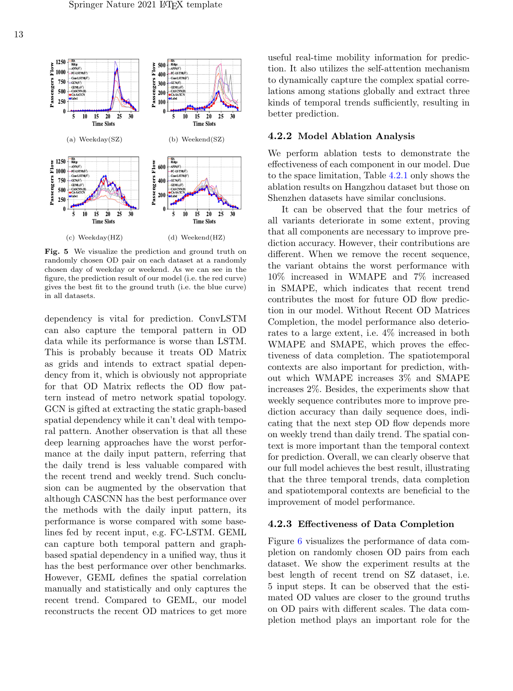

Fig. 5 We visualize the prediction and ground truth on randomly chosen OD pair on each dataset at a randomly chosen day of weekday or weekend. As we can see in the figure, the prediction result of our model (i.e. the red curve) gives the best fit to the ground truth (i.e. the blue curve) in all datasets.

dependency is vital for prediction. ConvLSTM can also capture the temporal pattern in OD data while its performance is worse than LSTM. This is probably because it treats OD Matrix as grids and intends to extract spatial dependency from it, which is obviously not appropriate for that OD Matrix reflects the OD flow pattern instead of metro network spatial topology. GCN is gifted at extracting the static graph-based spatial dependency while it can't deal with temporal pattern. Another observation is that all these deep learning approaches have the worst performance at the daily input pattern, referring that the daily trend is less valuable compared with the recent trend and weekly trend. Such conclusion can be augmented by the observation that although CASCNN has the best performance over the methods with the daily input pattern, its performance is worse compared with some baselines fed by recent input, e.g. FC-LSTM. GEML can capture both temporal pattern and graphbased spatial dependency in a unified way, thus it has the best performance over other benchmarks. However, GEML defines the spatial correlation manually and statistically and only captures the recent trend. Compared to GEML, our model reconstructs the recent OD matrices to get more

useful real-time mobility information for prediction. It also utilizes the self-attention mechanism to dynamically capture the complex spatial correlations among stations globally and extract three kinds of temporal trends sufficiently, resulting in better prediction.

#### 4.2.2 Model Ablation Analysis

We perform ablation tests to demonstrate the effectiveness of each component in our model. Due to the space limitation, Table [4.2.1](#page-13-0) only shows the ablation results on Hangzhou dataset but those on Shenzhen datasets have similar conclusions.

It can be observed that the four metrics of all variants deteriorate in some extent, proving that all components are necessary to improve prediction accuracy. However, their contributions are different. When we remove the recent sequence, the variant obtains the worst performance with 10% increased in WMAPE and 7% increased in SMAPE, which indicates that recent trend contributes the most for future OD flow prediction in our model. Without Recent OD Matrices Completion, the model performance also deteriorates to a large extent, i.e. 4% increased in both WMAPE and SMAPE, which proves the effectiveness of data completion. The spatiotemporal contexts are also important for prediction, without which WMAPE increases 3% and SMAPE increases 2%. Besides, the experiments show that weekly sequence contributes more to improve prediction accuracy than daily sequence does, indicating that the next step OD flow depends more on weekly trend than daily trend. The spatial context is more important than the temporal context for prediction. Overall, we can clearly observe that our full model achieves the best result, illustrating that the three temporal trends, data completion and spatiotemporal contexts are beneficial to the improvement of model performance.

#### 4.2.3 Effectiveness of Data Completion

Figure [6](#page-13-1) visualizes the performance of data completion on randomly chosen OD pairs from each dataset. We show the experiment results at the best length of recent trend on SZ dataset, i.e. 5 input steps. It can be observed that the estimated OD values are closer to the ground truths on OD pairs with different scales. The data completion method plays an important role for the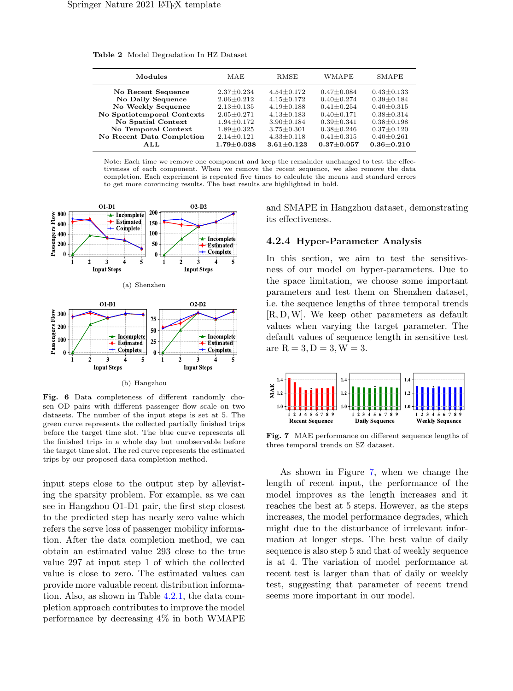<span id="page-13-0"></span>

| Modules                    | MAE              | RMSE             | WMAPE            | SMAPE            |
|----------------------------|------------------|------------------|------------------|------------------|
| No Recent Sequence         | $2.37 \pm 0.234$ | $4.54 + 0.172$   | $0.47 + 0.084$   | $0.43 \pm 0.133$ |
| No Daily Sequence          | $2.06 + 0.212$   | $4.15 + 0.172$   | $0.40 + 0.274$   | $0.39 + 0.184$   |
| No Weekly Sequence         | $2.13 + 0.135$   | $4.19 + 0.188$   | $0.41 + 0.254$   | $0.40 \pm 0.315$ |
| No Spatiotemporal Contexts | $2.05 \pm 0.271$ | $4.13 \pm 0.183$ | $0.40 + 0.171$   | $0.38 \pm 0.314$ |
| No Spatial Context         | $1.94 + 0.172$   | $3.90 + 0.184$   | $0.39 + 0.341$   | $0.38 \pm 0.198$ |
| No Temporal Context        | $1.89 \pm 0.325$ | $3.75 \pm 0.301$ | $0.38 \pm 0.246$ | $0.37 \pm 0.120$ |
| No Recent Data Completion  | $2.14 + 0.121$   | $4.33 \pm 0.118$ | $0.41 \pm 0.315$ | $0.40 \pm 0.261$ |
| ATJ.                       | $1.79 + 0.038$   | $3.61 \pm 0.123$ | $0.37 + 0.057$   | $0.36 + 0.210$   |

Note: Each time we remove one component and keep the remainder unchanged to test the effectiveness of each component. When we remove the recent sequence, we also remove the data completion. Each experiment is repeated five times to calculate the means and standard errors to get more convincing results. The best results are highlighted in bold.



<span id="page-13-1"></span>Fig. 6 Data completeness of different randomly chosen OD pairs with different passenger flow scale on two datasets. The number of the input steps is set at 5. The green curve represents the collected partially finished trips before the target time slot. The blue curve represents all the finished trips in a whole day but unobservable before the target time slot. The red curve represents the estimated trips by our proposed data completion method.

input steps close to the output step by alleviating the sparsity problem. For example, as we can see in Hangzhou O1-D1 pair, the first step closest to the predicted step has nearly zero value which refers the serve loss of passenger mobility information. After the data completion method, we can obtain an estimated value 293 close to the true value 297 at input step 1 of which the collected value is close to zero. The estimated values can provide more valuable recent distribution information. Also, as shown in Table [4.2.1,](#page-13-0) the data completion approach contributes to improve the model performance by decreasing 4% in both WMAPE and SMAPE in Hangzhou dataset, demonstrating its effectiveness.

#### 4.2.4 Hyper-Parameter Analysis

In this section, we aim to test the sensitiveness of our model on hyper-parameters. Due to the space limitation, we choose some important parameters and test them on Shenzhen dataset, i.e. the sequence lengths of three temporal trends [R, D,W]. We keep other parameters as default values when varying the target parameter. The default values of sequence length in sensitive test are  $R = 3, D = 3, W = 3$ .



<span id="page-13-2"></span>Fig. 7 MAE performance on different sequence lengths of three temporal trends on SZ dataset.

As shown in Figure [7,](#page-13-2) when we change the length of recent input, the performance of the model improves as the length increases and it reaches the best at 5 steps. However, as the steps increases, the model performance degrades, which might due to the disturbance of irrelevant information at longer steps. The best value of daily sequence is also step 5 and that of weekly sequence is at 4. The variation of model performance at recent test is larger than that of daily or weekly test, suggesting that parameter of recent trend seems more important in our model.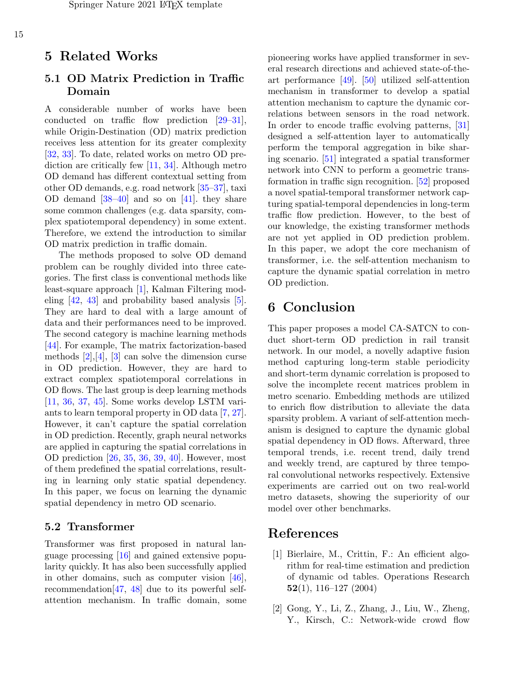### 5 Related Works

### 5.1 OD Matrix Prediction in Traffic Domain

A considerable number of works have been conducted on traffic flow prediction [\[29–](#page-16-10)[31\]](#page-16-11), while Origin-Destination (OD) matrix prediction receives less attention for its greater complexity [\[32,](#page-16-12) [33\]](#page-16-13). To date, related works on metro OD prediction are critically few [\[11,](#page-15-8) [34\]](#page-16-14). Although metro OD demand has different contextual setting from other OD demands, e.g. road network [\[35](#page-16-15)[–37\]](#page-17-0), taxi OD demand  $[38-40]$  $[38-40]$  and so on  $[41]$ . they share some common challenges (e.g. data sparsity, complex spatiotemporal dependency) in some extent. Therefore, we extend the introduction to similar OD matrix prediction in traffic domain.

The methods proposed to solve OD demand problem can be roughly divided into three categories. The first class is conventional methods like least-square approach [\[1\]](#page-14-0), Kalman Filtering modeling [\[42,](#page-17-4) [43\]](#page-17-5) and probability based analysis [\[5\]](#page-15-1). They are hard to deal with a large amount of data and their performances need to be improved. The second category is machine learning methods [\[44\]](#page-17-6). For example, The matrix factorization-based methods  $[2], [4], [3]$  $[2], [4], [3]$  $[2], [4], [3]$  $[2], [4], [3]$  $[2], [4], [3]$  can solve the dimension curse in OD prediction. However, they are hard to extract complex spatiotemporal correlations in OD flows. The last group is deep learning methods [\[11,](#page-15-8) [36,](#page-17-7) [37,](#page-17-0) [45\]](#page-17-8). Some works develop LSTM variants to learn temporal property in OD data [\[7,](#page-15-3) [27\]](#page-16-8). However, it can't capture the spatial correlation in OD prediction. Recently, graph neural networks are applied in capturing the spatial correlations in OD prediction [\[26,](#page-16-7) [35,](#page-16-15) [36,](#page-17-7) [39,](#page-17-9) [40\]](#page-17-2). However, most of them predefined the spatial correlations, resulting in learning only static spatial dependency. In this paper, we focus on learning the dynamic spatial dependency in metro OD scenario.

### 5.2 Transformer

Transformer was first proposed in natural language processing [\[16\]](#page-15-12) and gained extensive popularity quickly. It has also been successfully applied in other domains, such as computer vision [\[46\]](#page-17-10), recommendation[\[47,](#page-17-11) [48\]](#page-17-12) due to its powerful selfattention mechanism. In traffic domain, some

pioneering works have applied transformer in several research directions and achieved state-of-theart performance [\[49\]](#page-17-13). [\[50\]](#page-17-14) utilized self-attention mechanism in transformer to develop a spatial attention mechanism to capture the dynamic correlations between sensors in the road network. In order to encode traffic evolving patterns, [\[31\]](#page-16-11) designed a self-attention layer to automatically perform the temporal aggregation in bike sharing scenario. [\[51\]](#page-18-0) integrated a spatial transformer network into CNN to perform a geometric transformation in traffic sign recognition. [\[52\]](#page-18-1) proposed a novel spatial-temporal transformer network capturing spatial-temporal dependencies in long-term traffic flow prediction. However, to the best of our knowledge, the existing transformer methods are not yet applied in OD prediction problem. In this paper, we adopt the core mechanism of transformer, i.e. the self-attention mechanism to capture the dynamic spatial correlation in metro OD prediction.

# 6 Conclusion

This paper proposes a model CA-SATCN to conduct short-term OD prediction in rail transit network. In our model, a novelly adaptive fusion method capturing long-term stable periodicity and short-term dynamic correlation is proposed to solve the incomplete recent matrices problem in metro scenario. Embedding methods are utilized to enrich flow distribution to alleviate the data sparsity problem. A variant of self-attention mechanism is designed to capture the dynamic global spatial dependency in OD flows. Afterward, three temporal trends, i.e. recent trend, daily trend and weekly trend, are captured by three temporal convolutional networks respectively. Extensive experiments are carried out on two real-world metro datasets, showing the superiority of our model over other benchmarks.

## References

- <span id="page-14-0"></span>[1] Bierlaire, M., Crittin, F.: An efficient algorithm for real-time estimation and prediction of dynamic od tables. Operations Research 52(1), 116–127 (2004)
- <span id="page-14-1"></span>[2] Gong, Y., Li, Z., Zhang, J., Liu, W., Zheng, Y., Kirsch, C.: Network-wide crowd flow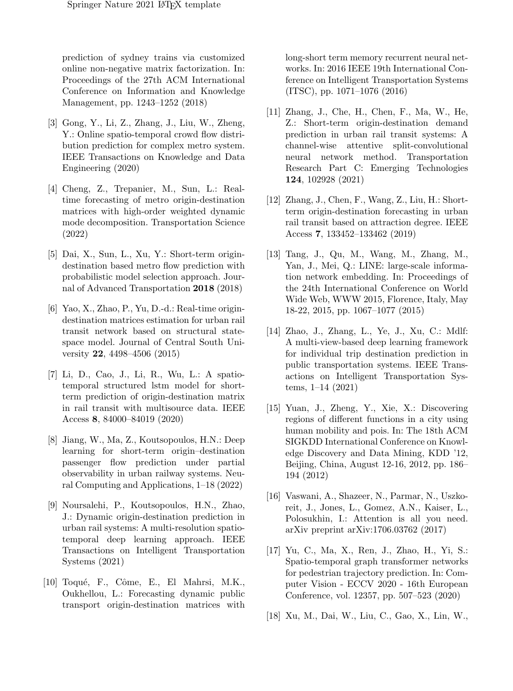prediction of sydney trains via customized online non-negative matrix factorization. In: Proceedings of the 27th ACM International Conference on Information and Knowledge Management, pp. 1243–1252 (2018)

- <span id="page-15-15"></span>[3] Gong, Y., Li, Z., Zhang, J., Liu, W., Zheng, Y.: Online spatio-temporal crowd flow distribution prediction for complex metro system. IEEE Transactions on Knowledge and Data Engineering (2020)
- <span id="page-15-0"></span>[4] Cheng, Z., Trepanier, M., Sun, L.: Realtime forecasting of metro origin-destination matrices with high-order weighted dynamic mode decomposition. Transportation Science (2022)
- <span id="page-15-1"></span>[5] Dai, X., Sun, L., Xu, Y.: Short-term origindestination based metro flow prediction with probabilistic model selection approach. Journal of Advanced Transportation 2018 (2018)
- <span id="page-15-2"></span>[6] Yao, X., Zhao, P., Yu, D.-d.: Real-time origindestination matrices estimation for urban rail transit network based on structural statespace model. Journal of Central South University 22, 4498–4506 (2015)
- <span id="page-15-3"></span>[7] Li, D., Cao, J., Li, R., Wu, L.: A spatiotemporal structured lstm model for shortterm prediction of origin-destination matrix in rail transit with multisource data. IEEE Access 8, 84000–84019 (2020)
- <span id="page-15-5"></span>[8] Jiang, W., Ma, Z., Koutsopoulos, H.N.: Deep learning for short-term origin–destination passenger flow prediction under partial observability in urban railway systems. Neural Computing and Applications, 1–18 (2022)
- <span id="page-15-7"></span>[9] Noursalehi, P., Koutsopoulos, H.N., Zhao, J.: Dynamic origin-destination prediction in urban rail systems: A multi-resolution spatiotemporal deep learning approach. IEEE Transactions on Intelligent Transportation Systems (2021)
- <span id="page-15-6"></span>[10] Toqué, F., Côme, E., El Mahrsi, M.K., Oukhellou, L.: Forecasting dynamic public transport origin-destination matrices with

long-short term memory recurrent neural networks. In: 2016 IEEE 19th International Conference on Intelligent Transportation Systems (ITSC), pp. 1071–1076 (2016)

- <span id="page-15-8"></span>[11] Zhang, J., Che, H., Chen, F., Ma, W., He, Z.: Short-term origin-destination demand prediction in urban rail transit systems: A channel-wise attentive split-convolutional neural network method. Transportation Research Part C: Emerging Technologies 124, 102928 (2021)
- <span id="page-15-4"></span>[12] Zhang, J., Chen, F., Wang, Z., Liu, H.: Shortterm origin-destination forecasting in urban rail transit based on attraction degree. IEEE Access 7, 133452–133462 (2019)
- <span id="page-15-9"></span>[13] Tang, J., Qu, M., Wang, M., Zhang, M., Yan, J., Mei, Q.: LINE: large-scale information network embedding. In: Proceedings of the 24th International Conference on World Wide Web, WWW 2015, Florence, Italy, May 18-22, 2015, pp. 1067–1077 (2015)
- <span id="page-15-10"></span>[14] Zhao, J., Zhang, L., Ye, J., Xu, C.: Mdlf: A multi-view-based deep learning framework for individual trip destination prediction in public transportation systems. IEEE Transactions on Intelligent Transportation Systems, 1–14 (2021)
- <span id="page-15-11"></span>[15] Yuan, J., Zheng, Y., Xie, X.: Discovering regions of different functions in a city using human mobility and pois. In: The 18th ACM SIGKDD International Conference on Knowledge Discovery and Data Mining, KDD '12, Beijing, China, August 12-16, 2012, pp. 186– 194 (2012)
- <span id="page-15-12"></span>[16] Vaswani, A., Shazeer, N., Parmar, N., Uszkoreit, J., Jones, L., Gomez, A.N., Kaiser, L., Polosukhin, I.: Attention is all you need. arXiv preprint arXiv:1706.03762 (2017)
- <span id="page-15-13"></span>[17] Yu, C., Ma, X., Ren, J., Zhao, H., Yi, S.: Spatio-temporal graph transformer networks for pedestrian trajectory prediction. In: Computer Vision - ECCV 2020 - 16th European Conference, vol. 12357, pp. 507–523 (2020)
- <span id="page-15-14"></span>[18] Xu, M., Dai, W., Liu, C., Gao, X., Lin, W.,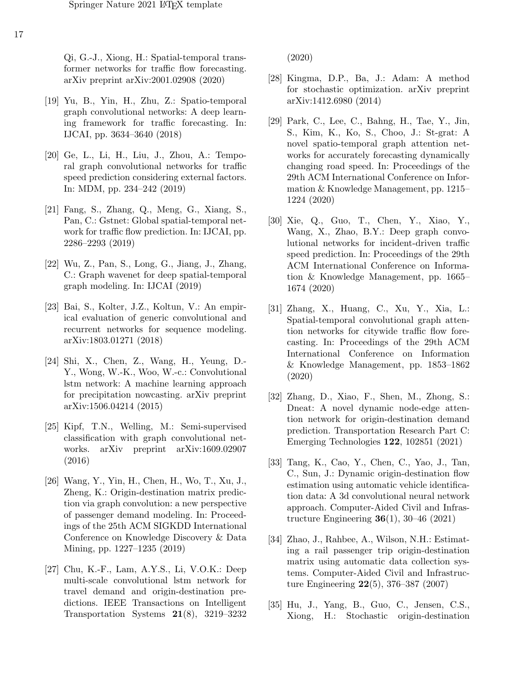Qi, G.-J., Xiong, H.: Spatial-temporal transformer networks for traffic flow forecasting. arXiv preprint arXiv:2001.02908 (2020)

- <span id="page-16-0"></span>[19] Yu, B., Yin, H., Zhu, Z.: Spatio-temporal graph convolutional networks: A deep learning framework for traffic forecasting. In: IJCAI, pp. 3634–3640 (2018)
- <span id="page-16-1"></span>[20] Ge, L., Li, H., Liu, J., Zhou, A.: Temporal graph convolutional networks for traffic speed prediction considering external factors. In: MDM, pp. 234–242 (2019)
- <span id="page-16-2"></span>[21] Fang, S., Zhang, Q., Meng, G., Xiang, S., Pan, C.: Gstnet: Global spatial-temporal network for traffic flow prediction. In: IJCAI, pp. 2286–2293 (2019)
- <span id="page-16-3"></span>[22] Wu, Z., Pan, S., Long, G., Jiang, J., Zhang, C.: Graph wavenet for deep spatial-temporal graph modeling. In: IJCAI (2019)
- <span id="page-16-4"></span>[23] Bai, S., Kolter, J.Z., Koltun, V.: An empirical evaluation of generic convolutional and recurrent networks for sequence modeling. arXiv:1803.01271 (2018)
- <span id="page-16-5"></span>[24] Shi, X., Chen, Z., Wang, H., Yeung, D.- Y., Wong, W.-K., Woo, W.-c.: Convolutional lstm network: A machine learning approach for precipitation nowcasting. arXiv preprint arXiv:1506.04214 (2015)
- <span id="page-16-6"></span>[25] Kipf, T.N., Welling, M.: Semi-supervised classification with graph convolutional networks. arXiv preprint arXiv:1609.02907 (2016)
- <span id="page-16-7"></span>[26] Wang, Y., Yin, H., Chen, H., Wo, T., Xu, J., Zheng, K.: Origin-destination matrix prediction via graph convolution: a new perspective of passenger demand modeling. In: Proceedings of the 25th ACM SIGKDD International Conference on Knowledge Discovery & Data Mining, pp. 1227–1235 (2019)
- <span id="page-16-8"></span>[27] Chu, K.-F., Lam, A.Y.S., Li, V.O.K.: Deep multi-scale convolutional lstm network for travel demand and origin-destination predictions. IEEE Transactions on Intelligent Transportation Systems 21(8), 3219–3232

(2020)

- <span id="page-16-9"></span>[28] Kingma, D.P., Ba, J.: Adam: A method for stochastic optimization. arXiv preprint arXiv:1412.6980 (2014)
- <span id="page-16-10"></span>[29] Park, C., Lee, C., Bahng, H., Tae, Y., Jin, S., Kim, K., Ko, S., Choo, J.: St-grat: A novel spatio-temporal graph attention networks for accurately forecasting dynamically changing road speed. In: Proceedings of the 29th ACM International Conference on Information & Knowledge Management, pp. 1215– 1224 (2020)
- [30] Xie, Q., Guo, T., Chen, Y., Xiao, Y., Wang, X., Zhao, B.Y.: Deep graph convolutional networks for incident-driven traffic speed prediction. In: Proceedings of the 29th ACM International Conference on Information & Knowledge Management, pp. 1665– 1674 (2020)
- <span id="page-16-11"></span>[31] Zhang, X., Huang, C., Xu, Y., Xia, L.: Spatial-temporal convolutional graph attention networks for citywide traffic flow forecasting. In: Proceedings of the 29th ACM International Conference on Information & Knowledge Management, pp. 1853–1862 (2020)
- <span id="page-16-12"></span>[32] Zhang, D., Xiao, F., Shen, M., Zhong, S.: Dneat: A novel dynamic node-edge attention network for origin-destination demand prediction. Transportation Research Part C: Emerging Technologies 122, 102851 (2021)
- <span id="page-16-13"></span>[33] Tang, K., Cao, Y., Chen, C., Yao, J., Tan, C., Sun, J.: Dynamic origin-destination flow estimation using automatic vehicle identification data: A 3d convolutional neural network approach. Computer-Aided Civil and Infrastructure Engineering 36(1), 30–46 (2021)
- <span id="page-16-14"></span>[34] Zhao, J., Rahbee, A., Wilson, N.H.: Estimating a rail passenger trip origin-destination matrix using automatic data collection systems. Computer-Aided Civil and Infrastructure Engineering 22(5), 376–387 (2007)
- <span id="page-16-15"></span>[35] Hu, J., Yang, B., Guo, C., Jensen, C.S., Xiong, H.: Stochastic origin-destination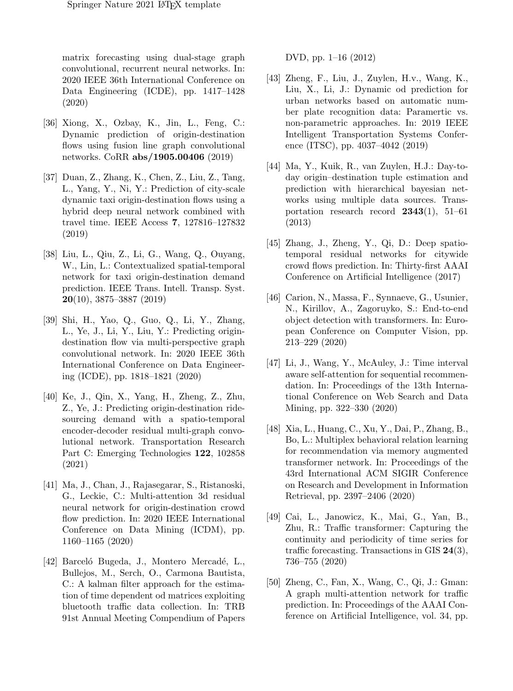matrix forecasting using dual-stage graph convolutional, recurrent neural networks. In: 2020 IEEE 36th International Conference on Data Engineering (ICDE), pp. 1417–1428 (2020)

- <span id="page-17-7"></span>[36] Xiong, X., Ozbay, K., Jin, L., Feng, C.: Dynamic prediction of origin-destination flows using fusion line graph convolutional networks. CoRR abs/1905.00406 (2019)
- <span id="page-17-0"></span>[37] Duan, Z., Zhang, K., Chen, Z., Liu, Z., Tang, L., Yang, Y., Ni, Y.: Prediction of city-scale dynamic taxi origin-destination flows using a hybrid deep neural network combined with travel time. IEEE Access 7, 127816–127832 (2019)
- <span id="page-17-1"></span>[38] Liu, L., Qiu, Z., Li, G., Wang, Q., Ouyang, W., Lin, L.: Contextualized spatial-temporal network for taxi origin-destination demand prediction. IEEE Trans. Intell. Transp. Syst.  $20(10)$ , 3875–3887 (2019)
- <span id="page-17-9"></span>[39] Shi, H., Yao, Q., Guo, Q., Li, Y., Zhang, L., Ye, J., Li, Y., Liu, Y.: Predicting origindestination flow via multi-perspective graph convolutional network. In: 2020 IEEE 36th International Conference on Data Engineering (ICDE), pp. 1818–1821 (2020)
- <span id="page-17-2"></span>[40] Ke, J., Qin, X., Yang, H., Zheng, Z., Zhu, Z., Ye, J.: Predicting origin-destination ridesourcing demand with a spatio-temporal encoder-decoder residual multi-graph convolutional network. Transportation Research Part C: Emerging Technologies 122, 102858 (2021)
- <span id="page-17-3"></span>[41] Ma, J., Chan, J., Rajasegarar, S., Ristanoski, G., Leckie, C.: Multi-attention 3d residual neural network for origin-destination crowd flow prediction. In: 2020 IEEE International Conference on Data Mining (ICDM), pp. 1160–1165 (2020)
- <span id="page-17-4"></span>[42] Barceló Bugeda, J., Montero Mercadé, L., Bullejos, M., Serch, O., Carmona Bautista, C.: A kalman filter approach for the estimation of time dependent od matrices exploiting bluetooth traffic data collection. In: TRB 91st Annual Meeting Compendium of Papers

DVD, pp. 1–16 (2012)

- <span id="page-17-5"></span>[43] Zheng, F., Liu, J., Zuylen, H.v., Wang, K., Liu, X., Li, J.: Dynamic od prediction for urban networks based on automatic number plate recognition data: Paramertic vs. non-parametric approaches. In: 2019 IEEE Intelligent Transportation Systems Conference (ITSC), pp. 4037–4042 (2019)
- <span id="page-17-6"></span>[44] Ma, Y., Kuik, R., van Zuylen, H.J.: Day-today origin–destination tuple estimation and prediction with hierarchical bayesian networks using multiple data sources. Transportation research record 2343(1), 51–61 (2013)
- <span id="page-17-8"></span>[45] Zhang, J., Zheng, Y., Qi, D.: Deep spatiotemporal residual networks for citywide crowd flows prediction. In: Thirty-first AAAI Conference on Artificial Intelligence (2017)
- <span id="page-17-10"></span>[46] Carion, N., Massa, F., Synnaeve, G., Usunier, N., Kirillov, A., Zagoruyko, S.: End-to-end object detection with transformers. In: European Conference on Computer Vision, pp. 213–229 (2020)
- <span id="page-17-11"></span>[47] Li, J., Wang, Y., McAuley, J.: Time interval aware self-attention for sequential recommendation. In: Proceedings of the 13th International Conference on Web Search and Data Mining, pp. 322–330 (2020)
- <span id="page-17-12"></span>[48] Xia, L., Huang, C., Xu, Y., Dai, P., Zhang, B., Bo, L.: Multiplex behavioral relation learning for recommendation via memory augmented transformer network. In: Proceedings of the 43rd International ACM SIGIR Conference on Research and Development in Information Retrieval, pp. 2397–2406 (2020)
- <span id="page-17-13"></span>[49] Cai, L., Janowicz, K., Mai, G., Yan, B., Zhu, R.: Traffic transformer: Capturing the continuity and periodicity of time series for traffic forecasting. Transactions in GIS 24(3), 736–755 (2020)
- <span id="page-17-14"></span>[50] Zheng, C., Fan, X., Wang, C., Qi, J.: Gman: A graph multi-attention network for traffic prediction. In: Proceedings of the AAAI Conference on Artificial Intelligence, vol. 34, pp.